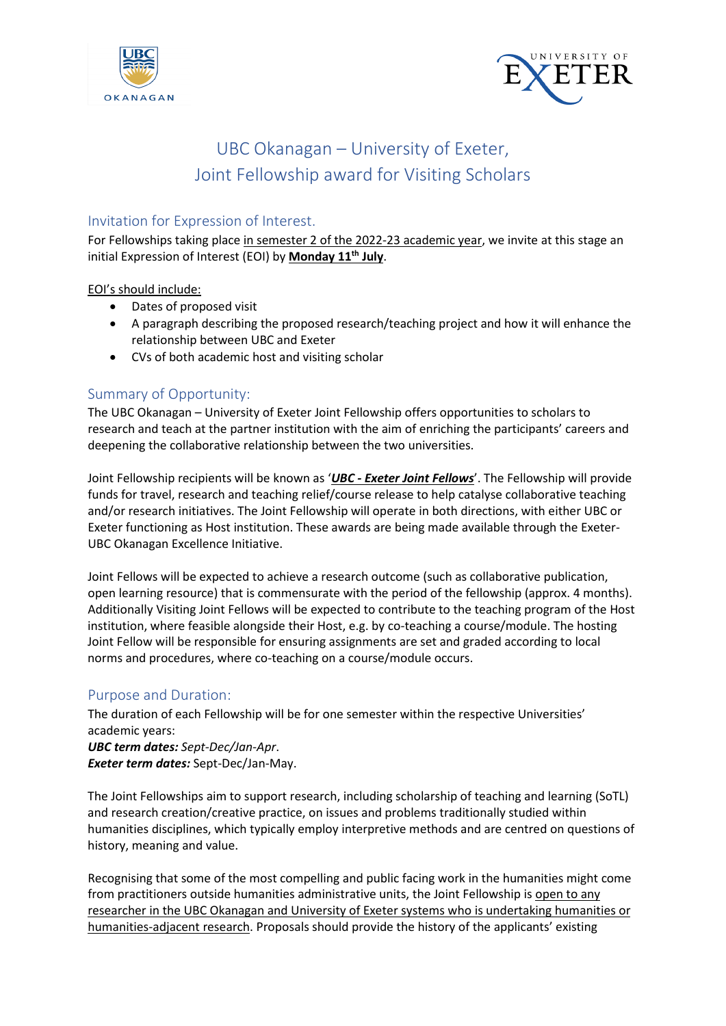



# UBC Okanagan – University of Exeter, Joint Fellowship award for Visiting Scholars

## Invitation for Expression of Interest.

For Fellowships taking place in semester 2 of the 2022-23 academic year, we invite at this stage an initial Expression of Interest (EOI) by **Monday 11th July**.

EOI's should include:

- Dates of proposed visit
- A paragraph describing the proposed research/teaching project and how it will enhance the relationship between UBC and Exeter
- CVs of both academic host and visiting scholar

## Summary of Opportunity:

The UBC Okanagan – University of Exeter Joint Fellowship offers opportunities to scholars to research and teach at the partner institution with the aim of enriching the participants' careers and deepening the collaborative relationship between the two universities.

Joint Fellowship recipients will be known as '*UBC - Exeter Joint Fellows*'. The Fellowship will provide funds for travel, research and teaching relief/course release to help catalyse collaborative teaching and/or research initiatives. The Joint Fellowship will operate in both directions, with either UBC or Exeter functioning as Host institution. These awards are being made available through the Exeter-UBC Okanagan Excellence Initiative.

Joint Fellows will be expected to achieve a research outcome (such as collaborative publication, open learning resource) that is commensurate with the period of the fellowship (approx. 4 months). Additionally Visiting Joint Fellows will be expected to contribute to the teaching program of the Host institution, where feasible alongside their Host, e.g. by co-teaching a course/module. The hosting Joint Fellow will be responsible for ensuring assignments are set and graded according to local norms and procedures, where co-teaching on a course/module occurs.

## Purpose and Duration:

The duration of each Fellowship will be for one semester within the respective Universities' academic years:

*UBC term dates: Sept-Dec/Jan-Apr*. *Exeter term dates:* Sept-Dec/Jan-May.

The Joint Fellowships aim to support research, including scholarship of teaching and learning (SoTL) and research creation/creative practice, on issues and problems traditionally studied within humanities disciplines, which typically employ interpretive methods and are centred on questions of history, meaning and value.

Recognising that some of the most compelling and public facing work in the humanities might come from practitioners outside humanities administrative units, the Joint Fellowship is open to any researcher in the UBC Okanagan and University of Exeter systems who is undertaking humanities or humanities-adjacent research. Proposals should provide the history of the applicants' existing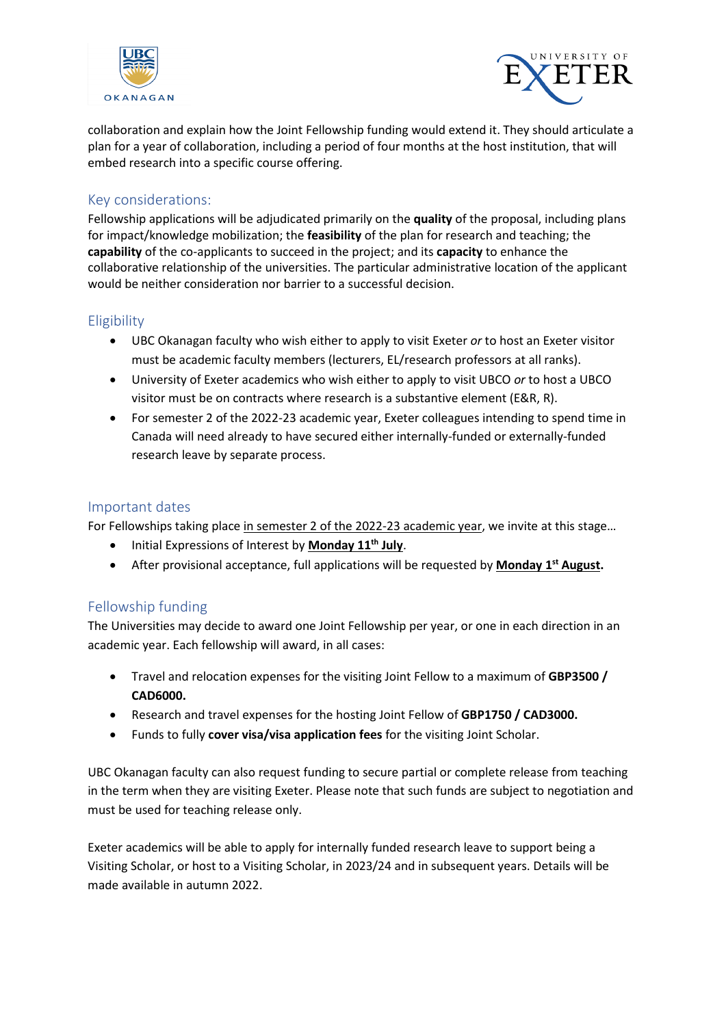



collaboration and explain how the Joint Fellowship funding would extend it. They should articulate a plan for a year of collaboration, including a period of four months at the host institution, that will embed research into a specific course offering.

#### Key considerations:

Fellowship applications will be adjudicated primarily on the **quality** of the proposal, including plans for impact/knowledge mobilization; the **feasibility** of the plan for research and teaching; the **capability** of the co-applicants to succeed in the project; and its **capacity** to enhance the collaborative relationship of the universities. The particular administrative location of the applicant would be neither consideration nor barrier to a successful decision.

#### **Eligibility**

- UBC Okanagan faculty who wish either to apply to visit Exeter *or* to host an Exeter visitor must be academic faculty members (lecturers, EL/research professors at all ranks).
- University of Exeter academics who wish either to apply to visit UBCO *or* to host a UBCO visitor must be on contracts where research is a substantive element (E&R, R).
- For semester 2 of the 2022-23 academic year, Exeter colleagues intending to spend time in Canada will need already to have secured either internally-funded or externally-funded research leave by separate process.

#### Important dates

For Fellowships taking place in semester 2 of the 2022-23 academic year, we invite at this stage...

- Initial Expressions of Interest by **Monday 11th July**.
- After provisional acceptance, full applications will be requested by **Monday 1st August.**

#### Fellowship funding

The Universities may decide to award one Joint Fellowship per year, or one in each direction in an academic year. Each fellowship will award, in all cases:

- Travel and relocation expenses for the visiting Joint Fellow to a maximum of **GBP3500 / CAD6000.**
- Research and travel expenses for the hosting Joint Fellow of **GBP1750 / CAD3000.**
- Funds to fully **cover visa/visa application fees** for the visiting Joint Scholar.

UBC Okanagan faculty can also request funding to secure partial or complete release from teaching in the term when they are visiting Exeter. Please note that such funds are subject to negotiation and must be used for teaching release only.

Exeter academics will be able to apply for internally funded research leave to support being a Visiting Scholar, or host to a Visiting Scholar, in 2023/24 and in subsequent years. Details will be made available in autumn 2022.